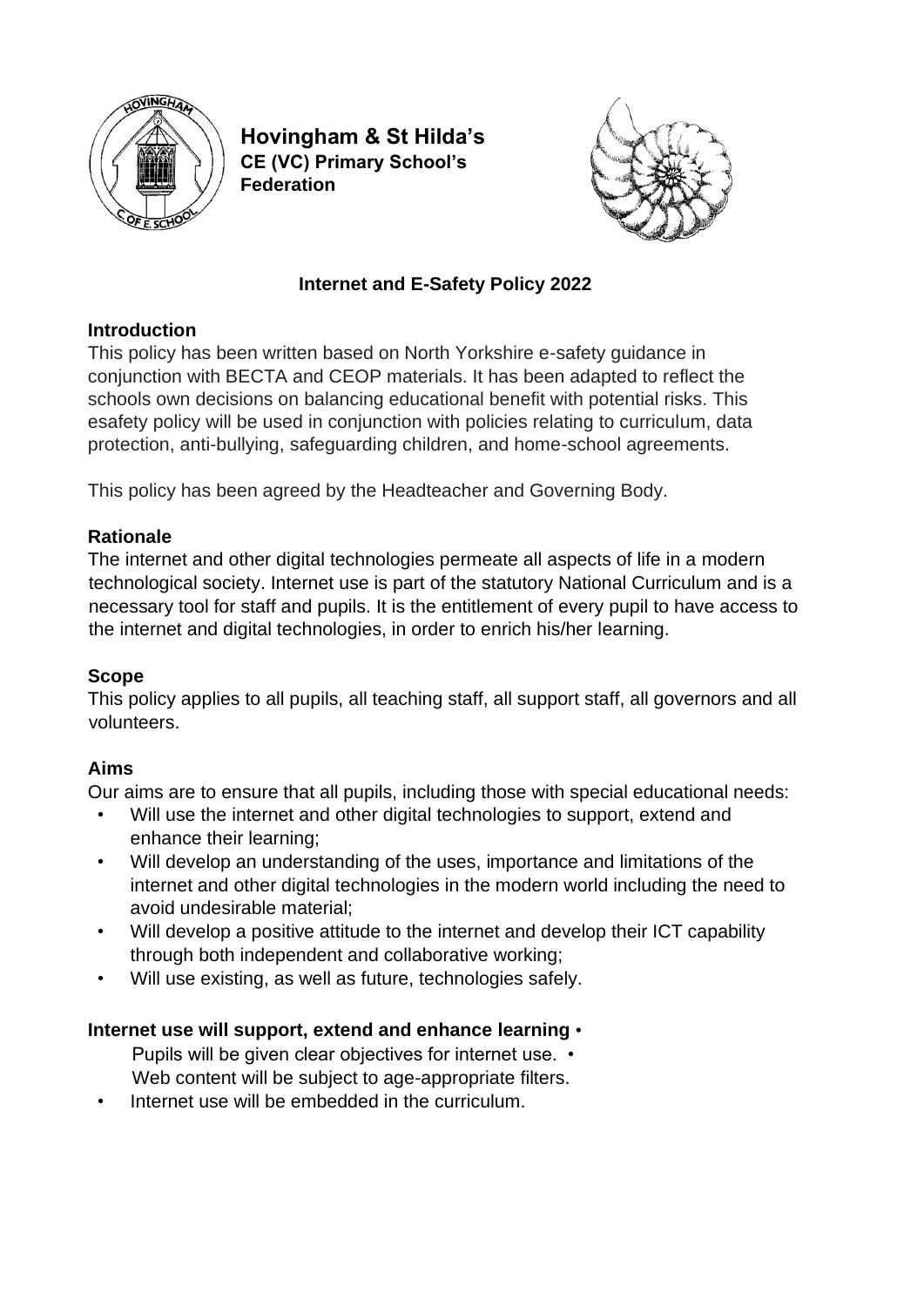

**Hovingham & St Hilda's CE (VC) Primary School's Federation**



## **Internet and E-Safety Policy 2022**

#### **Introduction**

This policy has been written based on North Yorkshire e-safety guidance in conjunction with BECTA and CEOP materials. It has been adapted to reflect the schools own decisions on balancing educational benefit with potential risks. This esafety policy will be used in conjunction with policies relating to curriculum, data protection, anti-bullying, safeguarding children, and home-school agreements.

This policy has been agreed by the Headteacher and Governing Body.

### **Rationale**

The internet and other digital technologies permeate all aspects of life in a modern technological society. Internet use is part of the statutory National Curriculum and is a necessary tool for staff and pupils. It is the entitlement of every pupil to have access to the internet and digital technologies, in order to enrich his/her learning.

#### **Scope**

This policy applies to all pupils, all teaching staff, all support staff, all governors and all volunteers.

# **Aims**

Our aims are to ensure that all pupils, including those with special educational needs:

- Will use the internet and other digital technologies to support, extend and enhance their learning;
- Will develop an understanding of the uses, importance and limitations of the internet and other digital technologies in the modern world including the need to avoid undesirable material;
- Will develop a positive attitude to the internet and develop their ICT capability through both independent and collaborative working;
- Will use existing, as well as future, technologies safely.

#### **Internet use will support, extend and enhance learning** •

- Pupils will be given clear objectives for internet use. Web content will be subject to age-appropriate filters.
- Internet use will be embedded in the curriculum.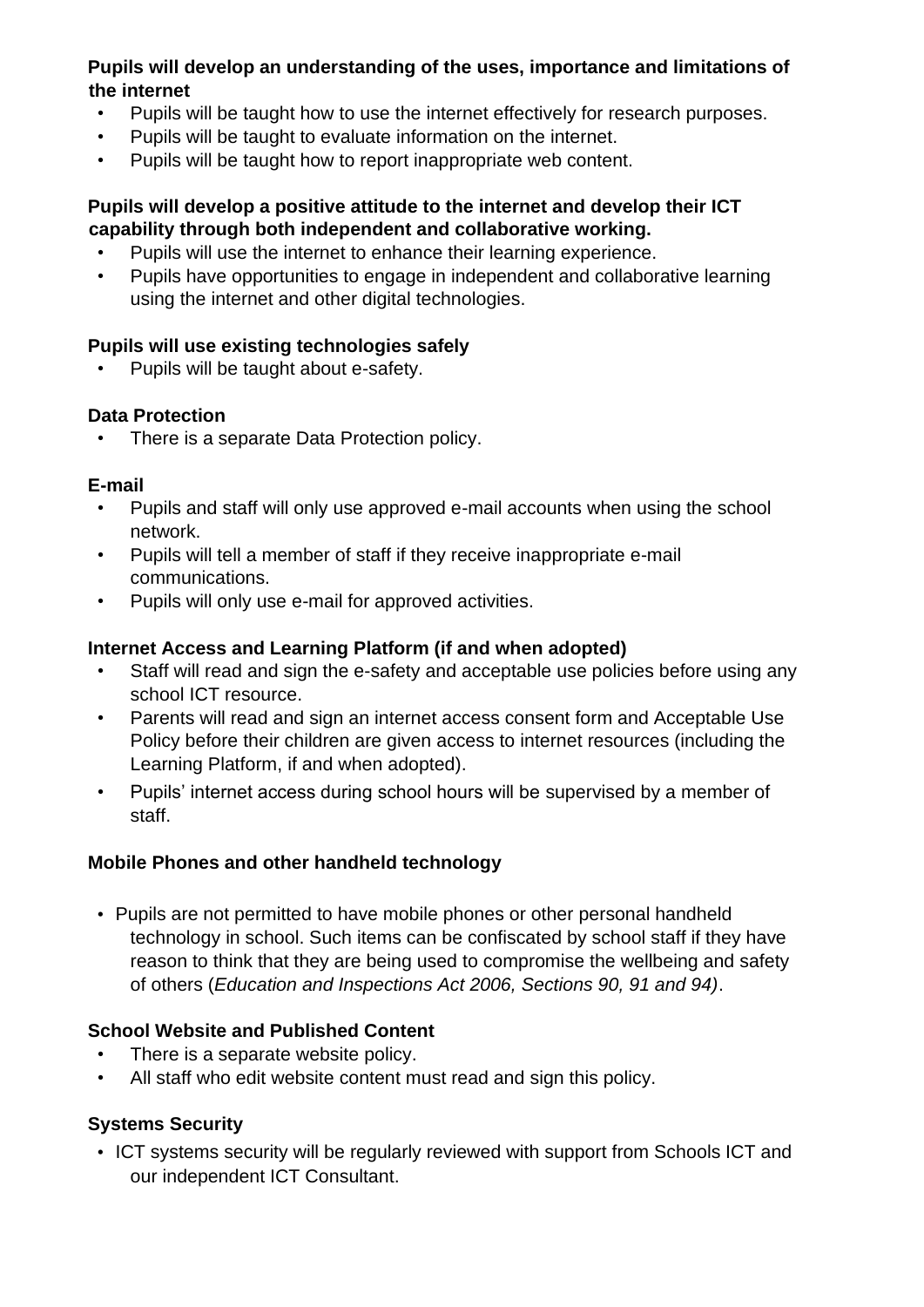#### **Pupils will develop an understanding of the uses, importance and limitations of the internet**

- Pupils will be taught how to use the internet effectively for research purposes.
- Pupils will be taught to evaluate information on the internet.
- Pupils will be taught how to report inappropriate web content.

## **Pupils will develop a positive attitude to the internet and develop their ICT capability through both independent and collaborative working.**

- Pupils will use the internet to enhance their learning experience.
- Pupils have opportunities to engage in independent and collaborative learning using the internet and other digital technologies.

# **Pupils will use existing technologies safely**

• Pupils will be taught about e-safety.

# **Data Protection**

• There is a separate Data Protection policy.

### **E-mail**

- Pupils and staff will only use approved e-mail accounts when using the school network.
- Pupils will tell a member of staff if they receive inappropriate e-mail communications.
- Pupils will only use e-mail for approved activities.

## **Internet Access and Learning Platform (if and when adopted)**

- Staff will read and sign the e-safety and acceptable use policies before using any school ICT resource.
- Parents will read and sign an internet access consent form and Acceptable Use Policy before their children are given access to internet resources (including the Learning Platform, if and when adopted).
- Pupils' internet access during school hours will be supervised by a member of staff.

# **Mobile Phones and other handheld technology**

• Pupils are not permitted to have mobile phones or other personal handheld technology in school. Such items can be confiscated by school staff if they have reason to think that they are being used to compromise the wellbeing and safety of others (*Education and Inspections Act 2006, Sections 90, 91 and 94)*.

# **School Website and Published Content**

- There is a separate website policy.
- All staff who edit website content must read and sign this policy.

# **Systems Security**

• ICT systems security will be regularly reviewed with support from Schools ICT and our independent ICT Consultant.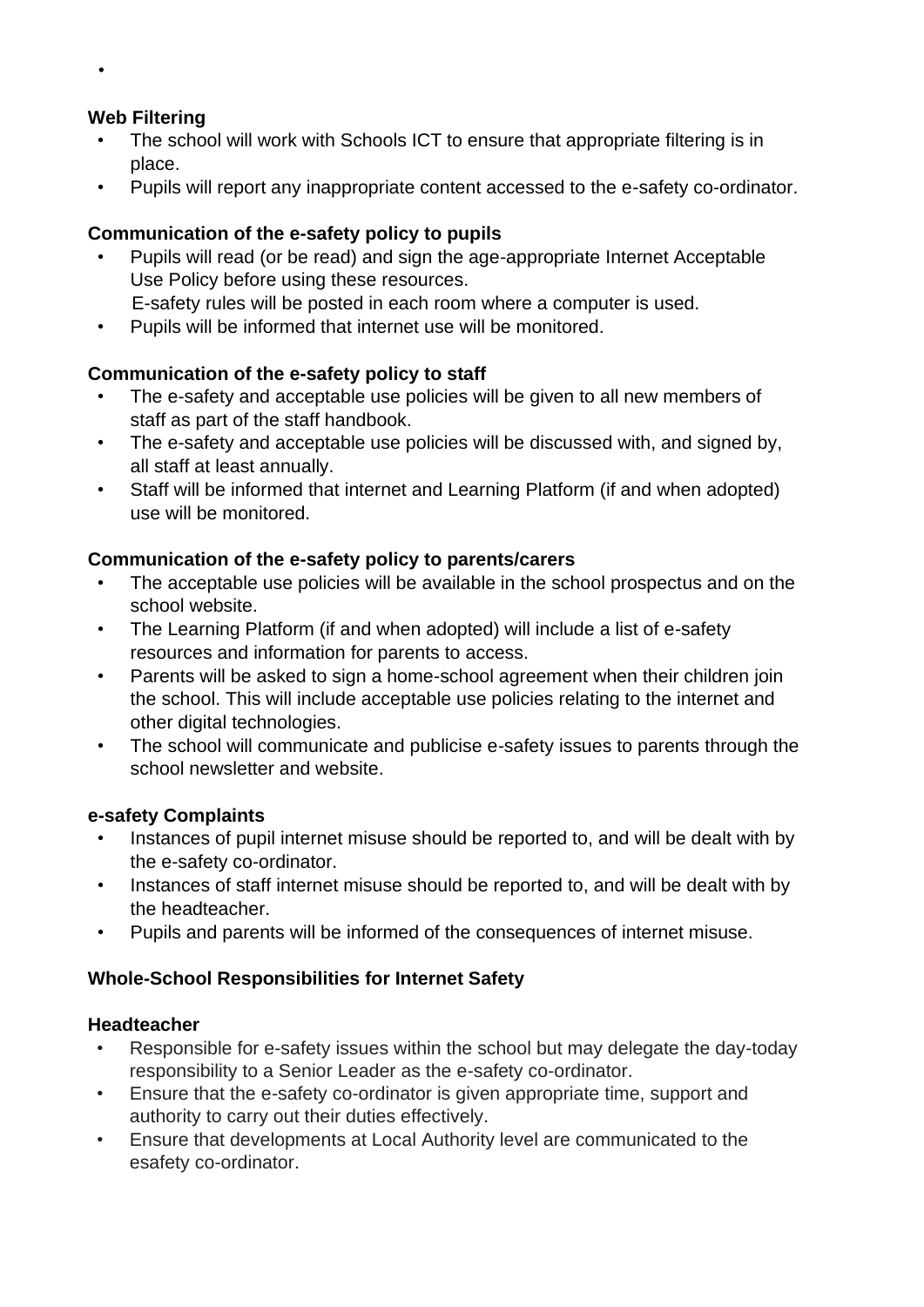## **Web Filtering**

- The school will work with Schools ICT to ensure that appropriate filtering is in place.
- Pupils will report any inappropriate content accessed to the e-safety co-ordinator.

### **Communication of the e-safety policy to pupils**

- Pupils will read (or be read) and sign the age-appropriate Internet Acceptable Use Policy before using these resources.
	- E-safety rules will be posted in each room where a computer is used.
- Pupils will be informed that internet use will be monitored.

### **Communication of the e-safety policy to staff**

- The e-safety and acceptable use policies will be given to all new members of staff as part of the staff handbook.
- The e-safety and acceptable use policies will be discussed with, and signed by, all staff at least annually.
- Staff will be informed that internet and Learning Platform (if and when adopted) use will be monitored.

### **Communication of the e-safety policy to parents/carers**

- The acceptable use policies will be available in the school prospectus and on the school website.
- The Learning Platform (if and when adopted) will include a list of e-safety resources and information for parents to access.
- Parents will be asked to sign a home-school agreement when their children join the school. This will include acceptable use policies relating to the internet and other digital technologies.
- The school will communicate and publicise e-safety issues to parents through the school newsletter and website.

#### **e-safety Complaints**

- Instances of pupil internet misuse should be reported to, and will be dealt with by the e-safety co-ordinator.
- Instances of staff internet misuse should be reported to, and will be dealt with by the headteacher.
- Pupils and parents will be informed of the consequences of internet misuse.

# **Whole-School Responsibilities for Internet Safety**

#### **Headteacher**

- Responsible for e-safety issues within the school but may delegate the day-today responsibility to a Senior Leader as the e-safety co-ordinator.
- Ensure that the e-safety co-ordinator is given appropriate time, support and authority to carry out their duties effectively.
- Ensure that developments at Local Authority level are communicated to the esafety co-ordinator.

•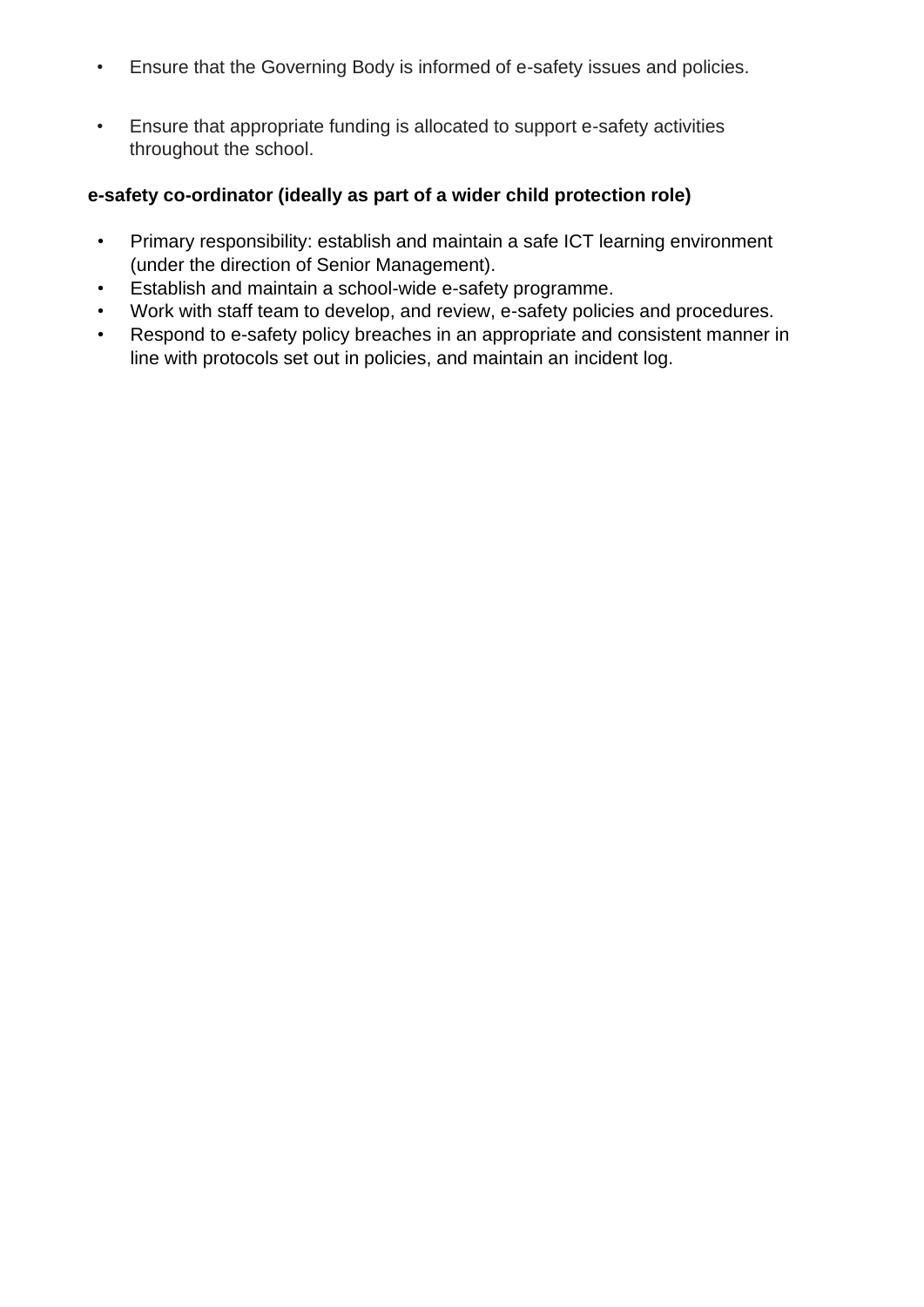- Ensure that the Governing Body is informed of e-safety issues and policies.
- Ensure that appropriate funding is allocated to support e-safety activities throughout the school.

#### **e-safety co-ordinator (ideally as part of a wider child protection role)**

- Primary responsibility: establish and maintain a safe ICT learning environment (under the direction of Senior Management).
- Establish and maintain a school-wide e-safety programme.
- Work with staff team to develop, and review, e-safety policies and procedures.
- Respond to e-safety policy breaches in an appropriate and consistent manner in line with protocols set out in policies, and maintain an incident log.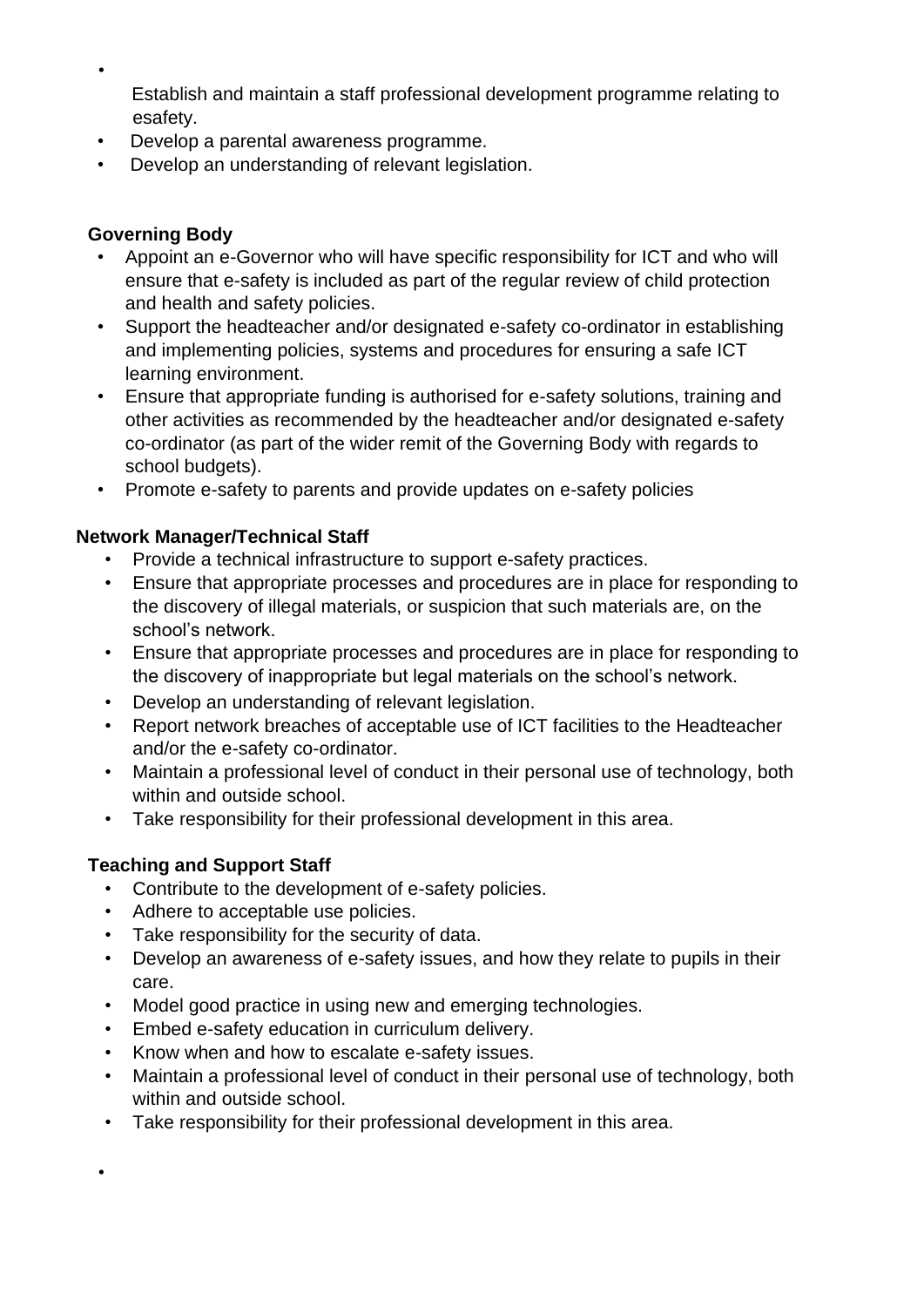Establish and maintain a staff professional development programme relating to esafety.

- Develop a parental awareness programme.
- Develop an understanding of relevant legislation.

#### **Governing Body**

•

- Appoint an e-Governor who will have specific responsibility for ICT and who will ensure that e-safety is included as part of the regular review of child protection and health and safety policies.
- Support the headteacher and/or designated e-safety co-ordinator in establishing and implementing policies, systems and procedures for ensuring a safe ICT learning environment.
- Ensure that appropriate funding is authorised for e-safety solutions, training and other activities as recommended by the headteacher and/or designated e-safety co-ordinator (as part of the wider remit of the Governing Body with regards to school budgets).
- Promote e-safety to parents and provide updates on e-safety policies

### **Network Manager/Technical Staff**

- Provide a technical infrastructure to support e-safety practices.
- Ensure that appropriate processes and procedures are in place for responding to the discovery of illegal materials, or suspicion that such materials are, on the school's network.
- Ensure that appropriate processes and procedures are in place for responding to the discovery of inappropriate but legal materials on the school's network.
- Develop an understanding of relevant legislation.
- Report network breaches of acceptable use of ICT facilities to the Headteacher and/or the e-safety co-ordinator.
- Maintain a professional level of conduct in their personal use of technology, both within and outside school.
- Take responsibility for their professional development in this area.

# **Teaching and Support Staff**

•

- Contribute to the development of e-safety policies.
- Adhere to acceptable use policies.
- Take responsibility for the security of data.
- Develop an awareness of e-safety issues, and how they relate to pupils in their care.
- Model good practice in using new and emerging technologies.
- Embed e-safety education in curriculum delivery.
- Know when and how to escalate e-safety issues.
- Maintain a professional level of conduct in their personal use of technology, both within and outside school.
- Take responsibility for their professional development in this area.